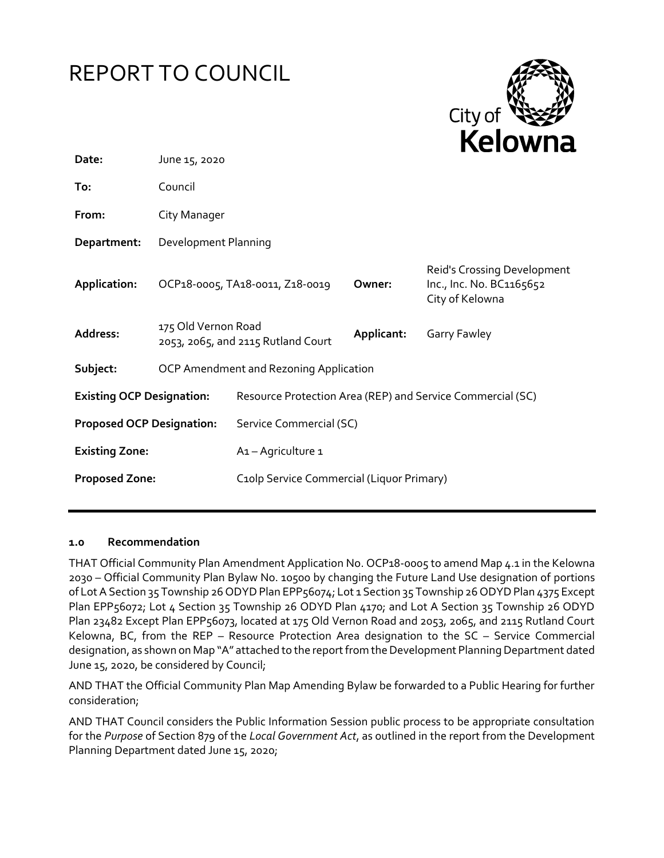# REPORT TO COUNCIL



| Date:                            | June 15, 2020                                             |                                           |                                                                            |                                                            |
|----------------------------------|-----------------------------------------------------------|-------------------------------------------|----------------------------------------------------------------------------|------------------------------------------------------------|
| To:                              | Council                                                   |                                           |                                                                            |                                                            |
| From:                            | City Manager                                              |                                           |                                                                            |                                                            |
| Department:                      | Development Planning                                      |                                           |                                                                            |                                                            |
| Application:                     | OCP18-0005, TA18-0011, Z18-0019<br>Owner:                 |                                           | Reid's Crossing Development<br>Inc., Inc. No. BC1165652<br>City of Kelowna |                                                            |
| Address:                         | 175 Old Vernon Road<br>2053, 2065, and 2115 Rutland Court |                                           | Applicant:                                                                 | Garry Fawley                                               |
| Subject:                         | OCP Amendment and Rezoning Application                    |                                           |                                                                            |                                                            |
| <b>Existing OCP Designation:</b> |                                                           |                                           |                                                                            | Resource Protection Area (REP) and Service Commercial (SC) |
| <b>Proposed OCP Designation:</b> |                                                           | Service Commercial (SC)                   |                                                                            |                                                            |
| <b>Existing Zone:</b>            |                                                           | A <sub>1</sub> - Agriculture 1            |                                                                            |                                                            |
| <b>Proposed Zone:</b>            |                                                           | C10lp Service Commercial (Liquor Primary) |                                                                            |                                                            |
|                                  |                                                           |                                           |                                                                            |                                                            |

## **1.0 Recommendation**

THAT Official Community Plan Amendment Application No. OCP18-0005 to amend Map 4.1 in the Kelowna 2030 – Official Community Plan Bylaw No. 10500 by changing the Future Land Use designation of portions of Lot A Section 35 Township 26 ODYD Plan EPP56074; Lot 1 Section 35 Township 26 ODYD Plan 4375 Except Plan EPP56072; Lot 4 Section 35 Township 26 ODYD Plan 4170; and Lot A Section 35 Township 26 ODYD Plan 23482 Except Plan EPP56073, located at 175 Old Vernon Road and 2053, 2065, and 2115 Rutland Court Kelowna, BC, from the REP – Resource Protection Area designation to the SC – Service Commercial designation, as shown on Map "A" attached to the report from the Development Planning Department dated June 15, 2020, be considered by Council;

AND THAT the Official Community Plan Map Amending Bylaw be forwarded to a Public Hearing for further consideration;

AND THAT Council considers the Public Information Session public process to be appropriate consultation for the *Purpose* of Section 879 of the *Local Government Act*, as outlined in the report from the Development Planning Department dated June 15, 2020;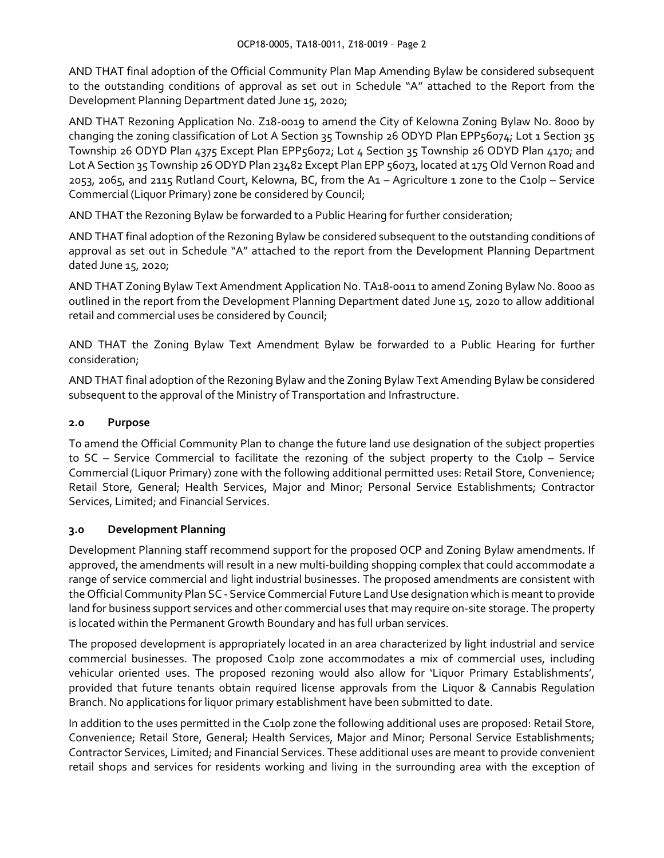AND THAT final adoption of the Official Community Plan Map Amending Bylaw be considered subsequent to the outstanding conditions of approval as set out in Schedule "A" attached to the Report from the Development Planning Department dated June 15, 2020;

AND THAT Rezoning Application No. Z18-0019 to amend the City of Kelowna Zoning Bylaw No. 8000 by changing the zoning classification of Lot A Section 35 Township 26 ODYD Plan EPP56074; Lot 1 Section 35 Township 26 ODYD Plan 4375 Except Plan EPP56072; Lot 4 Section 35 Township 26 ODYD Plan 4170; and Lot A Section 35 Township 26 ODYD Plan 23482 Except Plan EPP 56073, located at 175 Old Vernon Road and 2053, 2065, and 2115 Rutland Court, Kelowna, BC, from the A1 – Agriculture 1 zone to the C10lp – Service Commercial (Liquor Primary) zone be considered by Council;

AND THAT the Rezoning Bylaw be forwarded to a Public Hearing for further consideration;

AND THAT final adoption of the Rezoning Bylaw be considered subsequent to the outstanding conditions of approval as set out in Schedule "A" attached to the report from the Development Planning Department dated June 15, 2020;

AND THAT Zoning Bylaw Text Amendment Application No. TA18-0011 to amend Zoning Bylaw No. 8000 as outlined in the report from the Development Planning Department dated June 15, 2020 to allow additional retail and commercial uses be considered by Council;

AND THAT the Zoning Bylaw Text Amendment Bylaw be forwarded to a Public Hearing for further consideration;

AND THAT final adoption of the Rezoning Bylaw and the Zoning Bylaw Text Amending Bylaw be considered subsequent to the approval of the Ministry of Transportation and Infrastructure.

## **2.0 Purpose**

To amend the Official Community Plan to change the future land use designation of the subject properties to SC – Service Commercial to facilitate the rezoning of the subject property to the C10lp – Service Commercial (Liquor Primary) zone with the following additional permitted uses: Retail Store, Convenience; Retail Store, General; Health Services, Major and Minor; Personal Service Establishments; Contractor Services, Limited; and Financial Services.

## **3.0 Development Planning**

Development Planning staff recommend support for the proposed OCP and Zoning Bylaw amendments. If approved, the amendments will result in a new multi-building shopping complex that could accommodate a range of service commercial and light industrial businesses. The proposed amendments are consistent with the Official Community Plan SC - Service Commercial Future Land Use designation which is meant to provide land for business support services and other commercial uses that may require on-site storage. The property is located within the Permanent Growth Boundary and has full urban services.

The proposed development is appropriately located in an area characterized by light industrial and service commercial businesses. The proposed C10lp zone accommodates a mix of commercial uses, including vehicular oriented uses. The proposed rezoning would also allow for 'Liquor Primary Establishments', provided that future tenants obtain required license approvals from the Liquor & Cannabis Regulation Branch. No applications for liquor primary establishment have been submitted to date.

In addition to the uses permitted in the C10lp zone the following additional uses are proposed: Retail Store, Convenience; Retail Store, General; Health Services, Major and Minor; Personal Service Establishments; Contractor Services, Limited; and Financial Services. These additional uses are meant to provide convenient retail shops and services for residents working and living in the surrounding area with the exception of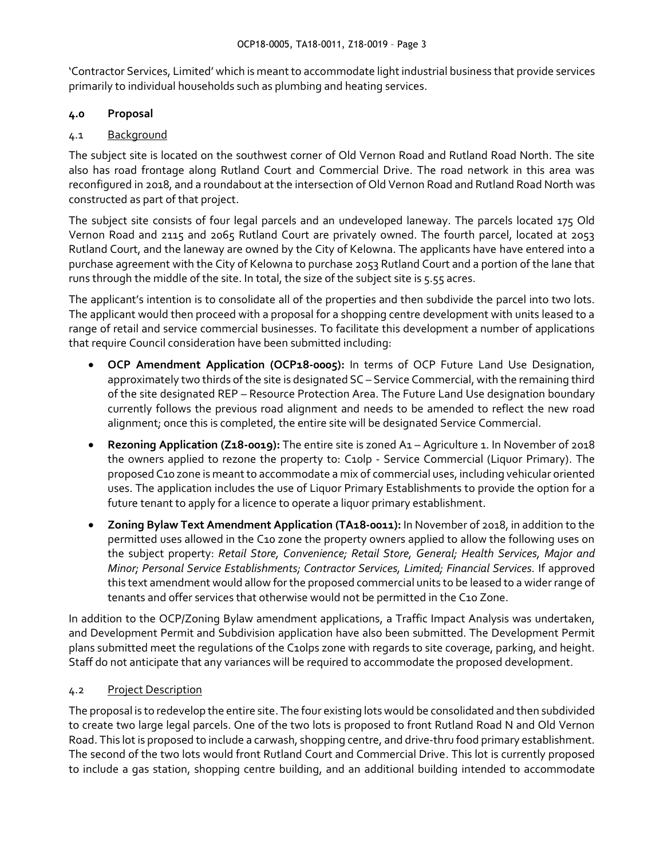'Contractor Services, Limited' which is meant to accommodate light industrial business that provide services primarily to individual households such as plumbing and heating services.

## **4.0 Proposal**

## 4.1 Background

The subject site is located on the southwest corner of Old Vernon Road and Rutland Road North. The site also has road frontage along Rutland Court and Commercial Drive. The road network in this area was reconfigured in 2018, and a roundabout at the intersection of Old Vernon Road and Rutland Road North was constructed as part of that project.

The subject site consists of four legal parcels and an undeveloped laneway. The parcels located 175 Old Vernon Road and 2115 and 2065 Rutland Court are privately owned. The fourth parcel, located at 2053 Rutland Court, and the laneway are owned by the City of Kelowna. The applicants have have entered into a purchase agreement with the City of Kelowna to purchase 2053 Rutland Court and a portion of the lane that runs through the middle of the site. In total, the size of the subject site is 5.55 acres.

The applicant's intention is to consolidate all of the properties and then subdivide the parcel into two lots. The applicant would then proceed with a proposal for a shopping centre development with units leased to a range of retail and service commercial businesses. To facilitate this development a number of applications that require Council consideration have been submitted including:

- **OCP Amendment Application (OCP18-0005):** In terms of OCP Future Land Use Designation, approximately two thirds of the site is designated SC – Service Commercial, with the remaining third of the site designated REP – Resource Protection Area. The Future Land Use designation boundary currently follows the previous road alignment and needs to be amended to reflect the new road alignment; once this is completed, the entire site will be designated Service Commercial.
- **Rezoning Application (Z18-0019):** The entire site is zoned A1 Agriculture 1. In November of 2018 the owners applied to rezone the property to: C10lp - Service Commercial (Liquor Primary). The proposed C10 zone is meant to accommodate a mix of commercial uses, including vehicular oriented uses. The application includes the use of Liquor Primary Establishments to provide the option for a future tenant to apply for a licence to operate a liquor primary establishment.
- **Zoning Bylaw Text Amendment Application (TA18-0011):** In November of 2018, in addition to the permitted uses allowed in the C10 zone the property owners applied to allow the following uses on the subject property: *Retail Store, Convenience; Retail Store, General; Health Services, Major and Minor; Personal Service Establishments; Contractor Services, Limited; Financial Services.* If approved this text amendment would allow for the proposed commercial units to be leased to a wider range of tenants and offer services that otherwise would not be permitted in the C10 Zone.

In addition to the OCP/Zoning Bylaw amendment applications, a Traffic Impact Analysis was undertaken, and Development Permit and Subdivision application have also been submitted. The Development Permit plans submitted meet the regulations of the C10lps zone with regards to site coverage, parking, and height. Staff do not anticipate that any variances will be required to accommodate the proposed development.

## 4.2 Project Description

The proposal is to redevelop the entire site. The four existing lots would be consolidated and then subdivided to create two large legal parcels. One of the two lots is proposed to front Rutland Road N and Old Vernon Road. This lot is proposed to include a carwash, shopping centre, and drive-thru food primary establishment. The second of the two lots would front Rutland Court and Commercial Drive. This lot is currently proposed to include a gas station, shopping centre building, and an additional building intended to accommodate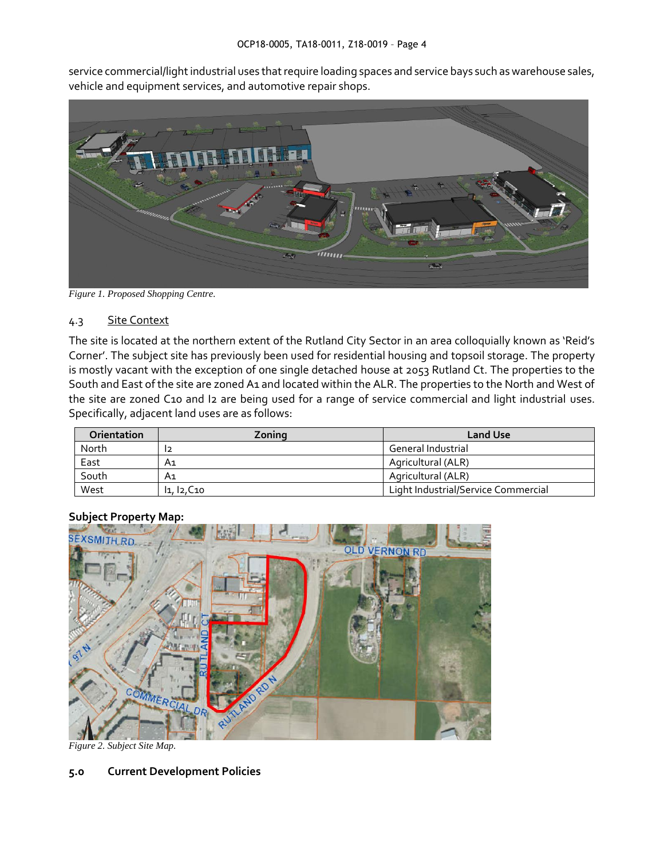service commercial/light industrial uses that require loading spaces and service bays such as warehouse sales, vehicle and equipment services, and automotive repair shops.



*Figure 1. Proposed Shopping Centre.* 

## 4.3 Site Context

The site is located at the northern extent of the Rutland City Sector in an area colloquially known as 'Reid's Corner'. The subject site has previously been used for residential housing and topsoil storage. The property is mostly vacant with the exception of one single detached house at 2053 Rutland Ct. The properties to the South and East of the site are zoned A1 and located within the ALR. The properties to the North and West of the site are zoned C10 and I2 are being used for a range of service commercial and light industrial uses. Specifically, adjacent land uses are as follows:

| Orientation | Zoning      | <b>Land Use</b>                     |
|-------------|-------------|-------------------------------------|
| North       |             | <b>General Industrial</b>           |
| East        | A1          | Agricultural (ALR)                  |
| South       | Α1          | Agricultural (ALR)                  |
| West        | 11, 12, C10 | Light Industrial/Service Commercial |



## **Subject Property Map:**

*Figure 2. Subject Site Map.*

## **5.0 Current Development Policies**